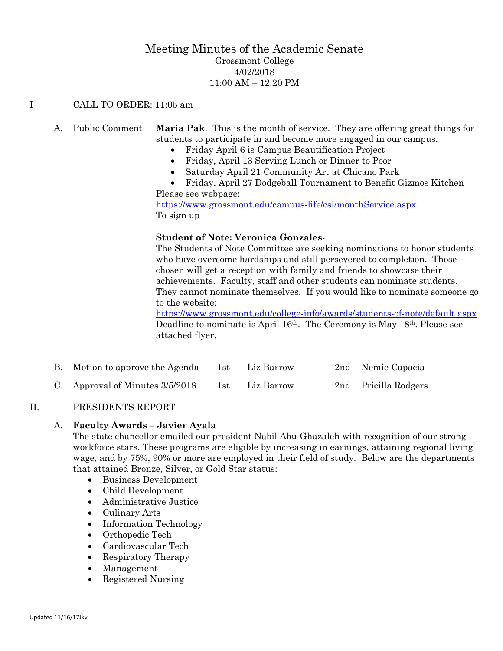# Meeting Minutes of the Academic Senate Grossmont College 4/02/2018 11:00 AM – 12:20 PM

#### I CALL TO ORDER: 11:05 am

# A. Public Comment **Maria Pak**. This is the month of service. They are offering great things for students to participate in and become more engaged in our campus.

- Friday April 6 is Campus Beautification Project
- Friday, April 13 Serving Lunch or Dinner to Poor
- Saturday April 21 Community Art at Chicano Park
- Friday, April 27 Dodgeball Tournament to Benefit Gizmos Kitchen Please see webpage:

<https://www.grossmont.edu/campus-life/csl/monthService.aspx> To sign up

#### **Student of Note: Veronica Gonzales**-

The Students of Note Committee are seeking nominations to honor students who have overcome hardships and still persevered to completion. Those chosen will get a reception with family and friends to showcase their achievements. Faculty, staff and other students can nominate students. They cannot nominate themselves. If you would like to nominate someone go to the website:

<https://www.grossmont.edu/college-info/awards/students-of-note/default.aspx> Deadline to nominate is April 16th. The Ceremony is May 18th. Please see attached flyer.

| B. Motion to approve the Agenda   | 1st   | Liz Barrow | 2nd Nemie Capacia    |
|-----------------------------------|-------|------------|----------------------|
| C. Approval of Minutes $3/5/2018$ | 1st - | Liz Barrow | 2nd Pricilla Rodgers |

## II. PRESIDENTS REPORT

#### A. **Faculty Awards – Javier Ayala**

The state chancellor emailed our president Nabil Abu-Ghazaleh with recognition of our strong workforce stars. These programs are eligible by increasing in earnings, attaining regional living wage, and by 75%, 90% or more are employed in their field of study. Below are the departments that attained Bronze, Silver, or Gold Star status:

- Business Development
- Child Development
- Administrative Justice
- Culinary Arts
- Information Technology
- Orthopedic Tech
- Cardiovascular Tech
- Respiratory Therapy
- Management
- Registered Nursing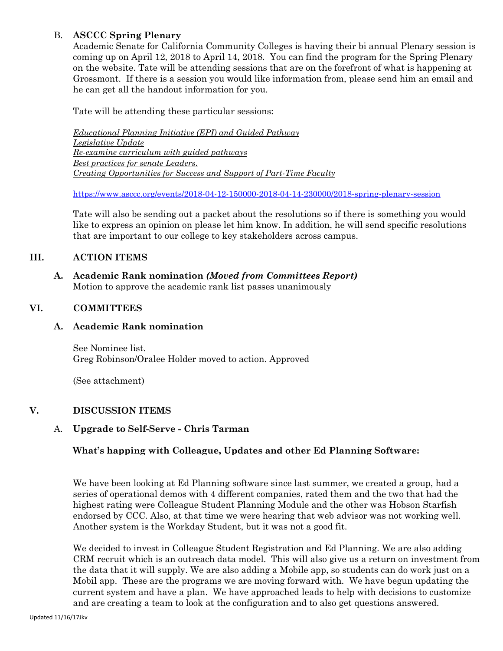# B. **ASCCC Spring Plenary**

Academic Senate for California Community Colleges is having their bi annual Plenary session is coming up on April 12, 2018 to April 14, 2018. You can find the program for the Spring Plenary on the website. Tate will be attending sessions that are on the forefront of what is happening at Grossmont. If there is a session you would like information from, please send him an email and he can get all the handout information for you.

Tate will be attending these particular sessions:

*Educational Planning Initiative (EPI) and Guided Pathway Legislative Update Re-examine curriculum with guided pathways Best practices for senate Leaders*. *Creating Opportunities for Success and Support of Part-Time Faculty*

<https://www.asccc.org/events/2018-04-12-150000-2018-04-14-230000/2018-spring-plenary-session>

Tate will also be sending out a packet about the resolutions so if there is something you would like to express an opinion on please let him know. In addition, he will send specific resolutions that are important to our college to key stakeholders across campus.

# **III. ACTION ITEMS**

**A. Academic Rank nomination** *(Moved from Committees Report)* Motion to approve the academic rank list passes unanimously

# **VI. COMMITTEES**

## **A. Academic Rank nomination**

See Nominee list. Greg Robinson/Oralee Holder moved to action. Approved

(See attachment)

## **V. DISCUSSION ITEMS**

## A. **Upgrade to Self-Serve - Chris Tarman**

## **What's happing with Colleague, Updates and other Ed Planning Software:**

We have been looking at Ed Planning software since last summer, we created a group, had a series of operational demos with 4 different companies, rated them and the two that had the highest rating were Colleague Student Planning Module and the other was Hobson Starfish endorsed by CCC. Also, at that time we were hearing that web advisor was not working well. Another system is the Workday Student, but it was not a good fit.

We decided to invest in Colleague Student Registration and Ed Planning. We are also adding CRM recruit which is an outreach data model. This will also give us a return on investment from the data that it will supply. We are also adding a Mobile app, so students can do work just on a Mobil app. These are the programs we are moving forward with. We have begun updating the current system and have a plan. We have approached leads to help with decisions to customize and are creating a team to look at the configuration and to also get questions answered.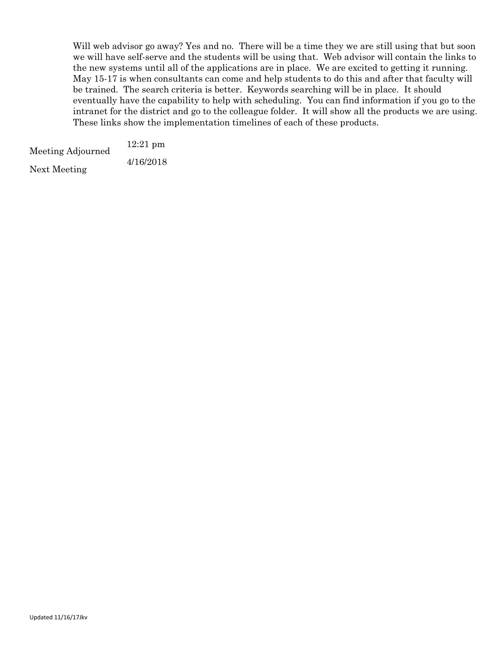Will web advisor go away? Yes and no. There will be a time they we are still using that but soon we will have self-serve and the students will be using that. Web advisor will contain the links to the new systems until all of the applications are in place. We are excited to getting it running. May 15-17 is when consultants can come and help students to do this and after that faculty will be trained. The search criteria is better. Keywords searching will be in place. It should eventually have the capability to help with scheduling. You can find information if you go to the intranet for the district and go to the colleague folder. It will show all the products we are using. These links show the implementation timelines of each of these products.

| Meeting Adjourned | $12:21$ pm |  |  |
|-------------------|------------|--|--|
|                   | 4/16/2018  |  |  |
| Next Meeting      |            |  |  |